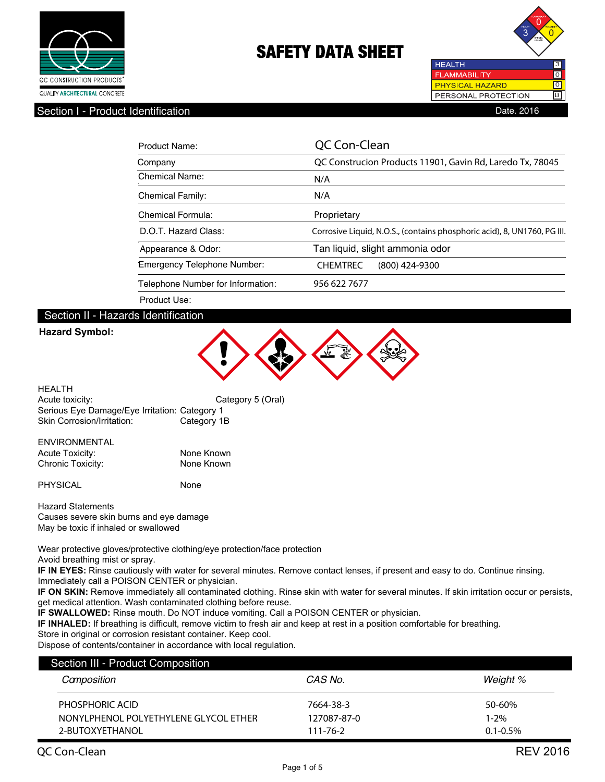



Section I - Product Identification **Date. 2016** Contract in the Section Date. 2016

| Product Name:                      | QC Con-Clean                                                             |  |
|------------------------------------|--------------------------------------------------------------------------|--|
| Company                            | QC Construcion Products 11901, Gavin Rd, Laredo Tx, 78045                |  |
| Chemical Name:                     | N/A                                                                      |  |
| <b>Chemical Family:</b>            | N/A                                                                      |  |
| Chemical Formula:                  | Proprietary                                                              |  |
| D.O.T. Hazard Class:               | Corrosive Liquid, N.O.S., (contains phosphoric acid), 8, UN1760, PG III. |  |
| Appearance & Odor:                 | Tan liquid, slight ammonia odor                                          |  |
| <b>Emergency Telephone Number:</b> | <b>CHEMTREC</b><br>(800) 424-9300                                        |  |
| Telephone Number for Information:  | 956 622 7677                                                             |  |
| Product Use:                       |                                                                          |  |

### Section II - Hazards Identification

### **Hazard Symbol:**



| HEALTH                                        |                   |
|-----------------------------------------------|-------------------|
| Acute toxicity:                               | Category 5 (Oral) |
| Serious Eye Damage/Eye Irritation: Category 1 |                   |
| Skin Corrosion/Irritation:                    | Category 1B       |

# ENVIRONMENTAL Acute Toxicity: None Known

Chronic Toxicity: None Known

PHYSICAL None

Hazard Statements Causes severe skin burns and eye damage May be toxic if inhaled or swallowed

Wear protective gloves/protective clothing/eye protection/face protection Avoid breathing mist or spray.

**IF IN EYES:** Rinse cautiously with water for several minutes. Remove contact lenses, if present and easy to do. Continue rinsing. Immediately call a POISON CENTER or physician.

**IF ON SKIN:** Remove immediately all contaminated clothing. Rinse skin with water for several minutes. If skin irritation occur or persists, get medical attention. Wash contaminated clothing before reuse.

**IF SWALLOWED:** Rinse mouth. Do NOT induce vomiting. Call a POISON CENTER or physician.

**IF INHALED:** If breathing is difficult, remove victim to fresh air and keep at rest in a position comfortable for breathing.

Store in original or corrosion resistant container. Keep cool.

Dispose of contents/container in accordance with local regulation.

| Section III - Product Composition     |                |               |  |
|---------------------------------------|----------------|---------------|--|
| Camposition                           | CAS No.        | Weight %      |  |
| PHOSPHORIC ACID                       | 7664-38-3      | 50-60%        |  |
| NONYLPHENOL POLYETHYLENE GLYCOL ETHER | 127087-87-0    | 1-2%          |  |
| 2-BUTOXYFTHANOL                       | $111 - 76 - 2$ | $0.1 - 0.5\%$ |  |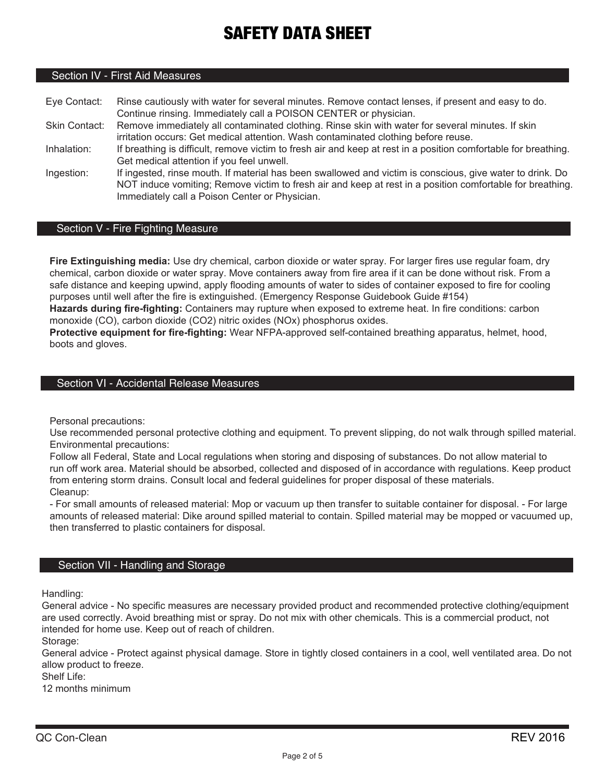## Section IV - First Aid Measures

Eye Contact: Rinse cautiously with water for several minutes. Remove contact lenses, if present and easy to do. Continue rinsing. Immediately call a POISON CENTER or physician. Skin Contact: Remove immediately all contaminated clothing. Rinse skin with water for several minutes. If skin irritation occurs: Get medical attention. Wash contaminated clothing before reuse. Inhalation: If breathing is difficult, remove victim to fresh air and keep at rest in a position comfortable for breathing. Get medical attention if you feel unwell. Ingestion: If ingested, rinse mouth. If material has been swallowed and victim is conscious, give water to drink. Do NOT induce vomiting; Remove victim to fresh air and keep at rest in a position comfortable for breathing.

### Section V - Fire Fighting Measure

Immediately call a Poison Center or Physician.

**Fire Extinguishing media:** Use dry chemical, carbon dioxide or water spray. For larger fires use regular foam, dry chemical, carbon dioxide or water spray. Move containers away from fire area if it can be done without risk. From a safe distance and keeping upwind, apply flooding amounts of water to sides of container exposed to fire for cooling purposes until well after the fire is extinguished. (Emergency Response Guidebook Guide #154)

**Hazards during fire-fighting:** Containers may rupture when exposed to extreme heat. In fire conditions: carbon monoxide (CO), carbon dioxide (CO2) nitric oxides (NOx) phosphorus oxides.

**Protective equipment for fire-fighting:** Wear NFPA-approved self-contained breathing apparatus, helmet, hood, boots and gloves.

### Section VI - Accidental Release Measures

Personal precautions:

Use recommended personal protective clothing and equipment. To prevent slipping, do not walk through spilled material. Environmental precautions:

Follow all Federal, State and Local regulations when storing and disposing of substances. Do not allow material to run off work area. Material should be absorbed, collected and disposed of in accordance with regulations. Keep product from entering storm drains. Consult local and federal guidelines for proper disposal of these materials. Cleanup:

- For small amounts of released material: Mop or vacuum up then transfer to suitable container for disposal. - For large amounts of released material: Dike around spilled material to contain. Spilled material may be mopped or vacuumed up, then transferred to plastic containers for disposal.

### Section VII - Handling and Storage

Handling:

General advice - No specific measures are necessary provided product and recommended protective clothing/equipment are used correctly. Avoid breathing mist or spray. Do not mix with other chemicals. This is a commercial product, not intended for home use. Keep out of reach of children.

Storage:

General advice - Protect against physical damage. Store in tightly closed containers in a cool, well ventilated area. Do not allow product to freeze.

Shelf Life:

12 months minimum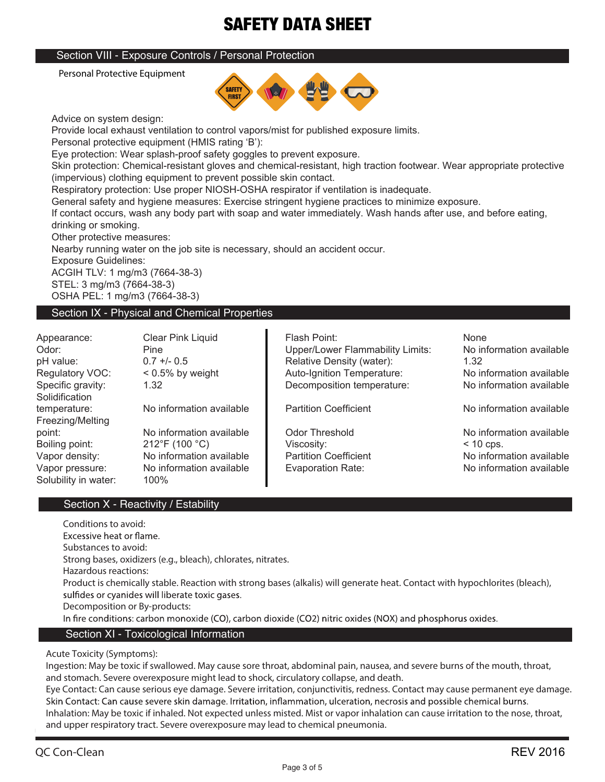## Section VIII - Exposure Controls / Personal Protection

Personal Protective Equipment



Advice on system design:

Provide local exhaust ventilation to control vapors/mist for published exposure limits.

Personal protective equipment (HMIS rating 'B'):

Eye protection: Wear splash-proof safety goggles to prevent exposure.

Skin protection: Chemical-resistant gloves and chemical-resistant, high traction footwear. Wear appropriate protective (impervious) clothing equipment to prevent possible skin contact.

Respiratory protection: Use proper NIOSH-OSHA respirator if ventilation is inadequate.

General safety and hygiene measures: Exercise stringent hygiene practices to minimize exposure.

If contact occurs, wash any body part with soap and water immediately. Wash hands after use, and before eating, drinking or smoking.

Other protective measures:

Nearby running water on the job site is necessary, should an accident occur.

Exposure Guidelines:

ACGIH TLV: 1 mg/m3 (7664-38-3) STEL: 3 mg/m3 (7664-38-3) OSHA PEL: 1 mg/m3 (7664-38-3)

# Section IX - Physical and Chemical Properties

**Solidification** Freezing/Melting Solubility in water: 100%

Appearance: Clear Pink Liquid Flash Point: None temperature: No information available **No under the Coefficient** No information available point: No information available codor Threshold No information available point: No information available contin<br>Boiling point: 212°F (100 °C) C Viscosity: Viscosity: < 10 cps. Boiling point: 212°F (100 °C) Viscosity: Vapor density: No information available **Notably 1.1 Partition Coefficient** No information available Vapor pressure: No information available | Evaporation Rate: No information available

Odor: Pine Pine Prince Proper/Lower Flammability Limits: No information available pH value: 0.7 +/- 0.5 Relative Density (water): 1.32 Regulatory VOC: < 0.5% by weight < 1000 Auto-Ignition Temperature: No information available Specific gravity: 1.32 Decomposition temperature: No information available

# Section X - Reactivity / Estability

**Conditions to avoid:** Excessive heat or flame. **Substances to avoid: Strong bases, oxidizers (e.g., bleach), chlorates, nitrates. Hazardous reactions: Product is chemically stable. Reaction with strong bases (alkalis) will generate heat. Contact with hypochlorites (bleach),**  sulfides or cyanides will liberate toxic gases. **Decomposition or By-products:** In fire conditions: carbon monoxide (CO), carbon dioxide (CO2) nitric oxides (NOX) and phosphorus oxides. Section XI - Toxicological Information

**Acute Toxicity (Symptoms):**

**Ingestion: May be toxic if swallowed. May cause sore throat, abdominal pain, nausea, and severe burns of the mouth, throat, and stomach. Severe overexposure might lead to shock, circulatory collapse, and death.**

**Eye Contact: Can cause serious eye damage. Severe irritation, conjunctivitis, redness. Contact may cause permanent eye damage.** Skin Contact: Can cause severe skin damage. Irritation, inflammation, ulceration, necrosis and possible chemical burns. **Inhalation: May be toxic if inhaled. Not expected unless misted. Mist or vapor inhalation can cause irritation to the nose, throat, and upper respiratory tract. Severe overexposure may lead to chemical pneumonia.**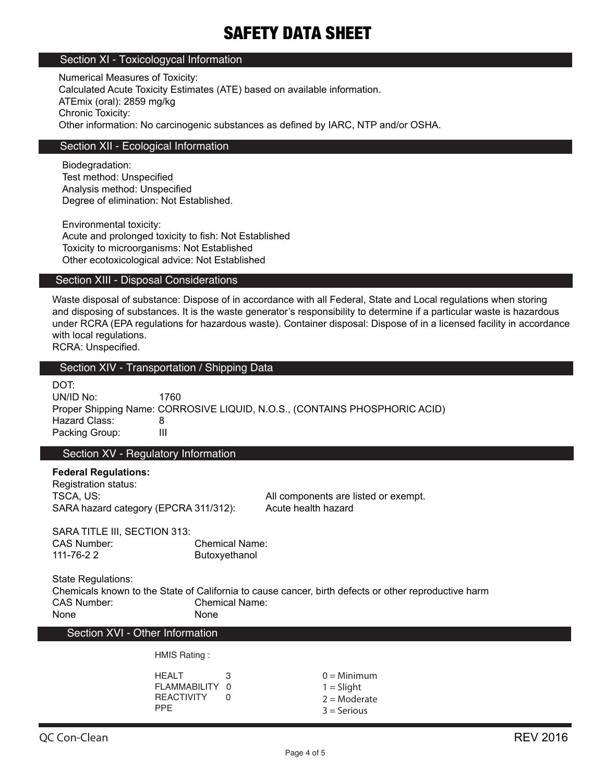### Section XI - Toxicologycal Information

Numerical Measures of Toxicity: Calculated Acute Toxicity Estimates (ATE) based on available information. ATEmix (oral): 2859 mg/kg Chronic Toxicity: Other information: No carcinogenic substances as defined by IARC, NTP and/or OSHA.

### Section XII - Ecological Information

Biodegradation: Test method: Unspecified Analysis method: Unspecified Degree of elimination: Not Established.

Environmental toxicity: Acute and prolonged toxicity to fish: Not Established Toxicity to microorganisms: Not Established Other ecotoxicological advice: Not Established

### Section XIII - Disposal Considerations

Waste disposal of substance: Dispose of in accordance with all Federal, State and Local regulations when storing and disposing of substances. It is the waste generator's responsibility to determine if a particular waste is hazardous under RCRA (EPA regulations for hazardous waste). Container disposal: Dispose of in a licensed facility in accordance with local regulations.

RCRA: Unspecified.

### Section XIV - Transportation / Shipping Data

| DOT:           |                                                                            |
|----------------|----------------------------------------------------------------------------|
| UN/ID No:      | 1760.                                                                      |
|                | Proper Shipping Name: CORROSIVE LIQUID, N.O.S., (CONTAINS PHOSPHORIC ACID) |
| Hazard Class:  |                                                                            |
| Packing Group: | Ш                                                                          |
|                |                                                                            |

Section XV - Regulatory Information

### **Federal Regulations:**

Registration status: TSCA, US: TSCA, US: All components are listed or exempt. SARA hazard category (EPCRA 311/312): Acute health hazard

SARA TITLE III, SECTION 313: CAS Number: Chemical Name: 111-76-2 2 Butoxyethanol

State Regulations:

Chemicals known to the State of California to cause cancer, birth defects or other reproductive harm CAS Number: Chemical Name: None None

Section XVI - Other Information

HMIS Rating :

| HFAI T<br>FI AMMABILITY 0       | з |  |
|---------------------------------|---|--|
| <b>REACTIVITY</b><br><b>PPF</b> | U |  |

 $0 =$ Minimum  $1 =$  Slight  $2 =$ Moderate  $3 =$  Serious